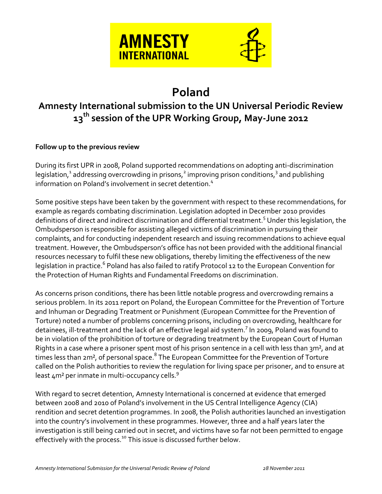

# **Poland**

## **Amnesty International submission to the UN Universal Periodic Review 13 th session of the UPR Working Group, May-June 2012**

#### **Follow up to the previous review**

During its first UPR in 2008, Poland supported recommendations on adopting anti-discrimination legislation,<sup>1</sup> addressing overcrowding in prisons,<sup>2</sup> improving prison conditions,<sup>3</sup> and publishing information on Poland's involvement in secret detention.<sup>4</sup>

Some positive steps have been taken by the government with respect to these recommendations, for example as regards combating discrimination. Legislation adopted in December 2010 provides definitions of direct and indirect discrimination and differential treatment.<sup>5</sup> Under this legislation, the Ombudsperson is responsible for assisting alleged victims of discrimination in pursuing their complaints, and for conducting independent research and issuing recommendations to achieve equal treatment. However, the Ombudsperson's office has not been provided with the additional financial resources necessary to fulfil these new obligations, thereby limiting the effectiveness of the new legislation in practice.<sup>6</sup> Poland has also failed to ratify Protocol 12 to the European Convention for the Protection of Human Rights and Fundamental Freedoms on discrimination.

As concerns prison conditions, there has been little notable progress and overcrowding remains a serious problem. In its 2011 report on Poland, the European Committee for the Prevention of Torture and Inhuman or Degrading Treatment or Punishment (European Committee for the Prevention of Torture) noted a number of problems concerning prisons, including on overcrowding, healthcare for detainees, ill-treatment and the lack of an effective legal aid system.<sup>7</sup> In 2009, Poland was found to be in violation of the prohibition of torture or degrading treatment by the European Court of Human Rights in a case where a prisoner spent most of his prison sentence in a cell with less than 3m<sup>2</sup>, and at times less than 2m², of personal space. $^8$  The European Committee for the Prevention of Torture called on the Polish authorities to review the regulation for living space per prisoner, and to ensure at least  $4m^2$  per inmate in multi-occupancy cells.<sup>9</sup>

With regard to secret detention, Amnesty International is concerned at evidence that emerged between 2008 and 2010 of Poland's involvement in the US Central Intelligence Agency (CIA) rendition and secret detention programmes. In 2008, the Polish authorities launched an investigation into the country's involvement in these programmes. However, three and a half years later the investigation is still being carried out in secret, and victims have so far not been permitted to engage effectively with the process.<sup>10</sup> This issue is discussed further below.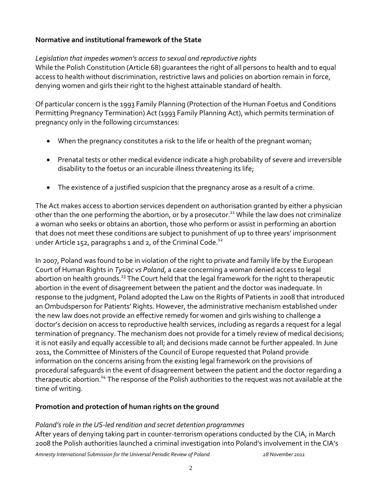#### **Normative and institutional framework of the State**

#### *Legislation that impedes women's access to sexual and reproductive rights*

While the Polish Constitution (Article 68) guarantees the right of all persons to health and to equal access to health without discrimination, restrictive laws and policies on abortion remain in force, denying women and girls their right to the highest attainable standard of health.

Of particular concern is the 1993 Family Planning (Protection of the Human Foetus and Conditions Permitting Pregnancy Termination) Act (1993 Family Planning Act), which permits termination of pregnancy only in the following circumstances:

- When the pregnancy constitutes a risk to the life or health of the pregnant woman;
- Prenatal tests or other medical evidence indicate a high probability of severe and irreversible disability to the foetus or an incurable illness threatening its life;
- The existence of a justified suspicion that the pregnancy arose as a result of a crime.

The Act makes access to abortion services dependent on authorisation granted by either a physician other than the one performing the abortion, or by a prosecutor.<sup>11</sup> While the law does not criminalize a woman who seeks or obtains an abortion, those who perform or assist in performing an abortion that does not meet these conditions are subject to punishment of up to three years' imprisonment under Article 152, paragraphs 1 and 2, of the Criminal Code.<sup>12</sup>

In 2007, Poland was found to be in violation of the right to private and family life by the European Court of Human Rights in *Tysiąc vs Poland*, a case concerning a woman denied access to legal abortion on health grounds.<sup>13</sup> The Court held that the legal framework for the right to therapeutic abortion in the event of disagreement between the patient and the doctor was inadequate. In response to the judgment, Poland adopted the Law on the Rights of Patients in 2008 that introduced an Ombudsperson for Patients' Rights. However, the administrative mechanism established under the new law does not provide an effective remedy for women and girls wishing to challenge a doctor's decision on access to reproductive health services, including as regards a request for a legal termination of pregnancy. The mechanism does not provide for a timely review of medical decisions; it is not easily and equally accessible to all; and decisions made cannot be further appealed. In June 2011, the Committee of Ministers of the Council of Europe requested that Poland provide information on the concerns arising from the existing legal framework on the provisions of procedural safeguards in the event of disagreement between the patient and the doctor regarding a therapeutic abortion.<sup>14</sup> The response of the Polish authorities to the request was not available at the time of writing.

#### **Promotion and protection of human rights on the ground**

#### *Poland's role in the US-led rendition and secret detention programmes*

After years of denying taking part in counter-terrorism operations conducted by the CIA, in March 2008 the Polish authorities launched a criminal investigation into Poland's involvement in the CIA's

*Amnesty International Submission for the Universal Periodic Review of Poland 28 November 2011*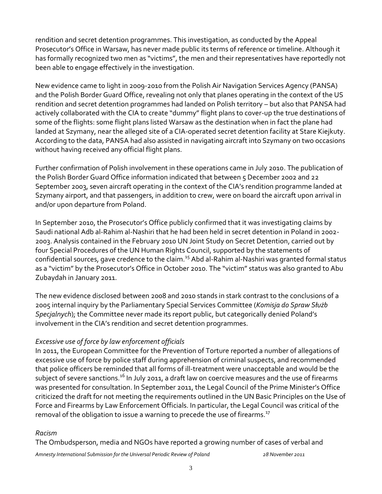rendition and secret detention programmes. This investigation, as conducted by the Appeal Prosecutor's Office in Warsaw, has never made public its terms of reference or timeline. Although it has formally recognized two men as "victims", the men and their representatives have reportedly not been able to engage effectively in the investigation.

New evidence came to light in 2009-2010 from the Polish Air Navigation Services Agency (PANSA) and the Polish Border Guard Office, revealing not only that planes operating in the context of the US rendition and secret detention programmes had landed on Polish territory – but also that PANSA had actively collaborated with the CIA to create "dummy" flight plans to cover-up the true destinations of some of the flights: some flight plans listed Warsaw as the destination when in fact the plane had landed at Szymany, near the alleged site of a CIA-operated secret detention facility at Stare Kiejkuty. According to the data, PANSA had also assisted in navigating aircraft into Szymany on two occasions without having received any official flight plans.

Further confirmation of Polish involvement in these operations came in July 2010. The publication of the Polish Border Guard Office information indicated that between 5 December 2002 and 22 September 2003, seven aircraft operating in the context of the CIA's rendition programme landed at Szymany airport, and that passengers, in addition to crew, were on board the aircraft upon arrival in and/or upon departure from Poland.

In September 2010, the Prosecutor's Office publicly confirmed that it was investigating claims by Saudi national Adb al-Rahim al-Nashiri that he had been held in secret detention in Poland in 2002- 2003. Analysis contained in the February 2010 UN Joint Study on Secret Detention, carried out by four Special Procedures of the UN Human Rights Council, supported by the statements of confidential sources, gave credence to the claim.<sup>15</sup> Abd al-Rahim al-Nashiri was granted formal status as a "victim" by the Prosecutor's Office in October 2010. The "victim" status was also granted to Abu Zubaydah in January 2011.

The new evidence disclosed between 2008 and 2010 stands in stark contrast to the conclusions of a 2005 internal inquiry by the Parliamentary Special Services Committee (*Komisja do Spraw Służb Specjalnych*); the Committee never made its report public, but categorically denied Poland's involvement in the CIA's rendition and secret detention programmes.

#### *Excessive use of force by law enforcement officials*

In 2011, the European Committee for the Prevention of Torture reported a number of allegations of excessive use of force by police staff during apprehension of criminal suspects, and recommended that police officers be reminded that all forms of ill-treatment were unacceptable and would be the subject of severe sanctions.<sup>16</sup> In July 2011, a draft law on coercive measures and the use of firearms was presented for consultation. In September 2011, the Legal Council of the Prime Minister's Office criticized the draft for not meeting the requirements outlined in the UN Basic Principles on the Use of Force and Firearms by Law Enforcement Officials. In particular, the Legal Council was critical of the removal of the obligation to issue a warning to precede the use of firearms. $^{17}$ 

#### *Racism*

The Ombudsperson, media and NGOs have reported a growing number of cases of verbal and

*Amnesty International Submission for the Universal Periodic Review of Poland 28 November 2011*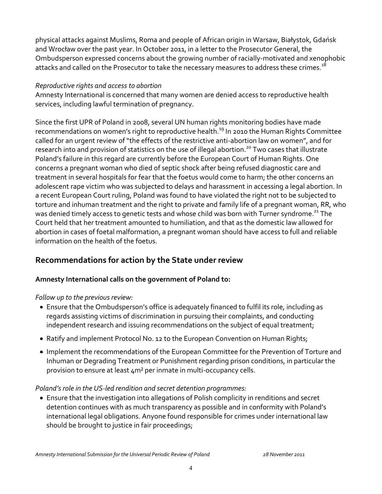physical attacks against Muslims, Roma and people of African origin in Warsaw, Białystok, Gdańsk and Wrocław over the past year. In October 2011, in a letter to the Prosecutor General, the Ombudsperson expressed concerns about the growing number of racially-motivated and xenophobic attacks and called on the Prosecutor to take the necessary measures to address these crimes.<sup>18</sup>

#### *Reproductive rights and access to abortion*

Amnesty International is concerned that many women are denied access to reproductive health services, including lawful termination of pregnancy.

Since the first UPR of Poland in 2008, several UN human rights monitoring bodies have made recommendations on women's right to reproductive health.<sup>19</sup> In 2010 the Human Rights Committee called for an urgent review of "the effects of the restrictive anti-abortion law on women", and for research into and provision of statistics on the use of illegal abortion.<sup>20</sup> Two cases that illustrate Poland's failure in this regard are currently before the European Court of Human Rights. One concerns a pregnant woman who died of septic shock after being refused diagnostic care and treatment in several hospitals for fear that the foetus would come to harm; the other concerns an adolescent rape victim who was subjected to delays and harassment in accessing a legal abortion. In a recent European Court ruling, Poland was found to have violated the right not to be subjected to torture and inhuman treatment and the right to private and family life of a pregnant woman, RR, who was denied timely access to genetic tests and whose child was born with Turner syndrome.<sup>21</sup> The Court held that her treatment amounted to humiliation, and that as the domestic law allowed for abortion in cases of foetal malformation, a pregnant woman should have access to full and reliable information on the health of the foetus.

### **Recommendations for action by the State under review**

#### **Amnesty International calls on the government of Poland to:**

#### *Follow up to the previous review:*

- Ensure that the Ombudsperson's office is adequately financed to fulfil its role, including as regards assisting victims of discrimination in pursuing their complaints, and conducting independent research and issuing recommendations on the subject of equal treatment;
- Ratify and implement Protocol No. 12 to the European Convention on Human Rights;
- Implement the recommendations of the European Committee for the Prevention of Torture and Inhuman or Degrading Treatment or Punishment regarding prison conditions, in particular the provision to ensure at least 4m² per inmate in multi-occupancy cells.

#### *Poland's role in the US-led rendition and secret detention programmes:*

 Ensure that the investigation into allegations of Polish complicity in renditions and secret detention continues with as much transparency as possible and in conformity with Poland's international legal obligations. Anyone found responsible for crimes under international law should be brought to justice in fair proceedings;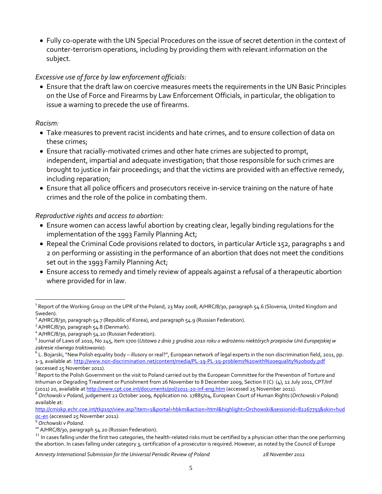Fully co-operate with the UN Special Procedures on the issue of secret detention in the context of counter-terrorism operations, including by providing them with relevant information on the subject.

#### *Excessive use of force by law enforcement officials:*

 Ensure that the draft law on coercive measures meets the requirements in the UN Basic Principles on the Use of Force and Firearms by Law Enforcement Officials, in particular, the obligation to issue a warning to precede the use of firearms.

#### *Racism:*

- Take measures to prevent racist incidents and hate crimes, and to ensure collection of data on these crimes;
- Ensure that racially-motivated crimes and other hate crimes are subjected to prompt, independent, impartial and adequate investigation; that those responsible for such crimes are brought to justice in fair proceedings; and that the victims are provided with an effective remedy, including reparation;
- Ensure that all police officers and prosecutors receive in-service training on the nature of hate crimes and the role of the police in combating them.

#### *Reproductive rights and access to abortion:*

- Ensure women can access lawful abortion by creating clear, legally binding regulations for the implementation of the 1993 Family Planning Act;
- Repeal the Criminal Code provisions related to doctors, in particular Article 152, paragraphs 1 and 2 on performing or assisting in the performance of an abortion that does not meet the conditions set out in the 1993 Family Planning Act;
- Ensure access to remedy and timely review of appeals against a refusal of a therapeutic abortion where provided for in law.

*Amnesty International Submission for the Universal Periodic Review of Poland 28 November 2011*

 $\overline{a}$  $^{\rm 1}$  Report of the Working Group on the UPR of the Poland, 23 May 2008, A/HRC/8/30, paragraph 54.6 (Slovenia, United Kingdom and Sweden).

 $^2$  A/HRC/8/30, paragraph 54.7 (Republic of Korea), and paragraph 54.9 (Russian Federation).

<sup>3</sup> A/HRC/8/30, paragraph 54.8 (Denmark).

<sup>&</sup>lt;sup>4</sup> A/HRC/8/30, paragraph 54.20 (Russian Federation).

<sup>5</sup> Journal of Laws of 2010, No 245, item 1700 (*Ustawa z dnia 3 grudnia 2010 roku o wdrożeniu niektórych przepisów Unii Europejskiej w zakresie równego traktowania*).

 $^6$  L. Bojarski, "New Polish equality body – illusory or real?", European network of legal experts in the non-discrimination field, 2011, pp. 1-3, available at: <http://www.non-discrimination.net/content/media/PL-19-PL-19-problems%20with%20equality%20body.pdf> (accessed 25 November 2011).

 $^7$  Report to the Polish Government on the visit to Poland carried out by the European Committee for the Prevention of Torture and Inhuman or Degrading Treatment or Punishment from 26 November to 8 December 2009, Section II (C) (4), 12 July 2011, CPT/Inf (2011) 20, available a[t http://www.cpt.coe.int/documents/pol/2011-20-inf-eng.htm](http://www.cpt.coe.int/documents/pol/2011-20-inf-eng.htm) (accessed 25 November 2011).

<sup>8</sup> *Orchowski v Poland*, judgement 22 October 2009, Application no. 17885/04, European Court of Human Rights (*Orchowski v Poland)* available at:

[http://cmiskp.echr.coe.int/tkp197/view.asp?item=1&portal=hbkm&action=html&highlight=Orchowski&sessionid=82267793&skin=hud](http://cmiskp.echr.coe.int/tkp197/view.asp?item=1&portal=hbkm&action=html&highlight=Orchowski&sessionid=82267793&skin=hudoc-en) [oc-en](http://cmiskp.echr.coe.int/tkp197/view.asp?item=1&portal=hbkm&action=html&highlight=Orchowski&sessionid=82267793&skin=hudoc-en) (accessed 25 November 2011).

<sup>9</sup> *Orchowski v Poland*.

<sup>&</sup>lt;sup>10</sup> A/HRC/8/30, paragraph 54.20 (Russian Federation).

<sup>&</sup>lt;sup>11</sup> In cases falling under the first two categories, the health-related risks must be certified by a physician other than the one performing the abortion. In cases falling under category 3, certification of a prosecutor is required. However, as noted by the Council of Europe